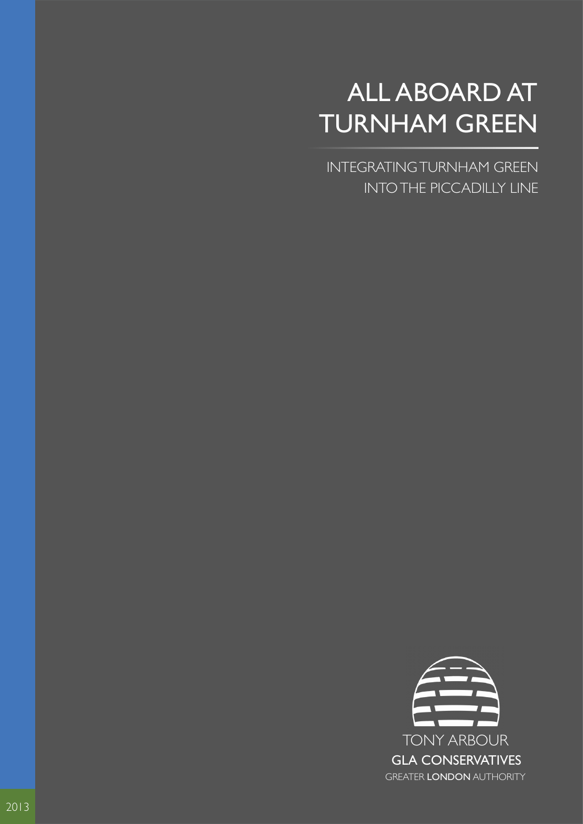# ALL ABOARD AT TURNHAM GREEN

INTEGRATING TURNHAM GREEN INTO THE PICCADILLY LINE

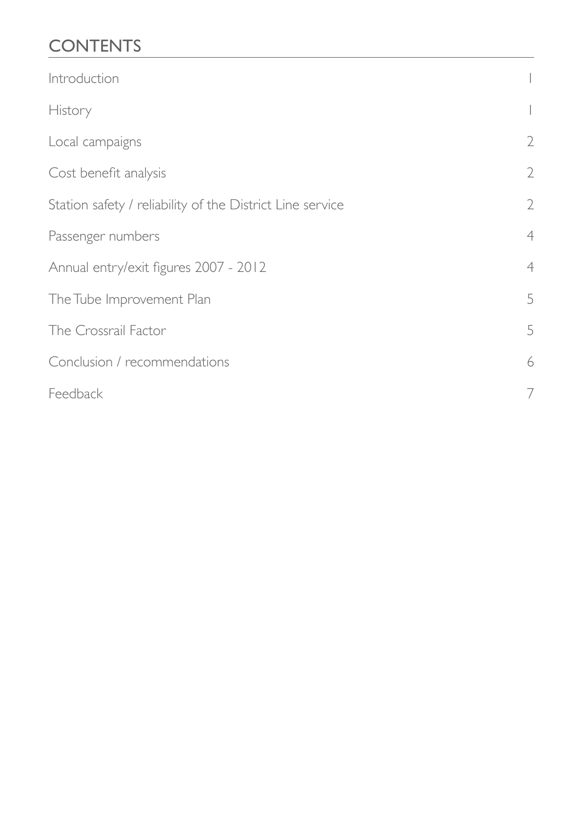# **CONTENTS**

| Introduction                                              |                |
|-----------------------------------------------------------|----------------|
| History                                                   |                |
| Local campaigns                                           | $\sqrt{2}$     |
| Cost benefit analysis                                     | $\sqrt{2}$     |
| Station safety / reliability of the District Line service | $\sqrt{2}$     |
| Passenger numbers                                         | $\overline{4}$ |
| Annual entry/exit figures 2007 - 2012                     | $\overline{4}$ |
| The Tube Improvement Plan                                 | 5              |
| The Crossrail Factor                                      | 5              |
| Conclusion / recommendations                              | 6              |
| Feedback                                                  | 7              |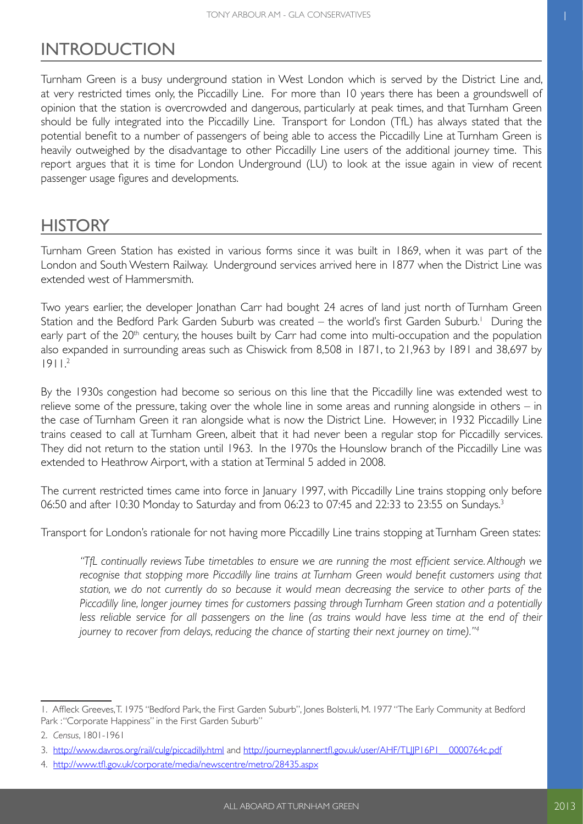### <span id="page-2-0"></span>INTRODUCTION

Turnham Green is a busy underground station in West London which is served by the District Line and, at very restricted times only, the Piccadilly Line. For more than 10 years there has been a groundswell of opinion that the station is overcrowded and dangerous, particularly at peak times, and that Turnham Green should be fully integrated into the Piccadilly Line. Transport for London (TfL) has always stated that the potential benefit to a number of passengers of being able to access the Piccadilly Line at Turnham Green is heavily outweighed by the disadvantage to other Piccadilly Line users of the additional journey time. This report argues that it is time for London Underground (LU) to look at the issue again in view of recent passenger usage figures and developments.

### **HISTORY**

Turnham Green Station has existed in various forms since it was built in 1869, when it was part of the London and South Western Railway. Underground services arrived here in 1877 when the District Line was extended west of Hammersmith.

Two years earlier, the developer Jonathan Carr had bought 24 acres of land just north of Turnham Green Station and the Bedford Park Garden Suburb was created – the world's first Garden Suburb.<sup>1</sup> During the early part of the 20<sup>th</sup> century, the houses built by Carr had come into multi-occupation and the population also expanded in surrounding areas such as Chiswick from 8,508 in 1871, to 21,963 by 1891 and 38,697 by  $1911<sup>2</sup>$ 

By the 1930s congestion had become so serious on this line that the Piccadilly line was extended west to relieve some of the pressure, taking over the whole line in some areas and running alongside in others – in the case of Turnham Green it ran alongside what is now the District Line. However, in 1932 Piccadilly Line trains ceased to call at Turnham Green, albeit that it had never been a regular stop for Piccadilly services. They did not return to the station until 1963. In the 1970s the Hounslow branch of the Piccadilly Line was extended to Heathrow Airport, with a station at Terminal 5 added in 2008.

The current restricted times came into force in January 1997, with Piccadilly Line trains stopping only before 06:50 and after 10:30 Monday to Saturday and from 06:23 to 07:45 and 22:33 to 23:55 on Sundays.3

Transport for London's rationale for not having more Piccadilly Line trains stopping at Turnham Green states:

*"TfL continually reviews Tube timetables to ensure we are running the most efficient service. Although we recognise that stopping more Piccadilly line trains at Turnham Green would benefit customers using that station, we do not currently do so because it would mean decreasing the service to other parts of the Piccadilly line, longer journey times for customers passing through Turnham Green station and a potentially*  less reliable service for all passengers on the line (as trains would have less time at the end of their *journey to recover from delays, reducing the chance of starting their next journey on time)."<sup>4</sup>*

<sup>1.</sup> Affleck Greeves, T. 1975 "Bedford Park, the First Garden Suburb", Jones Bolsterli, M. 1977 "The Early Community at Bedford Park : "Corporate Happiness" in the First Garden Suburb"

<sup>2.</sup> *Census*, 1801-1961

<sup>3.</sup> http://www.davros.org/rail/culg/piccadilly.html and [http://journeyplanner.tfl.gov.uk/user/AHF/TLJJP16P1\\_\\_0000764c.pdf](http://journeyplanner.tfl.gov.uk/user/AHF/TLJJP16P1__0000764c.pdf)

<sup>4.</sup> <http://www.tfl.gov.uk/corporate/media/newscentre/metro/28435.aspx>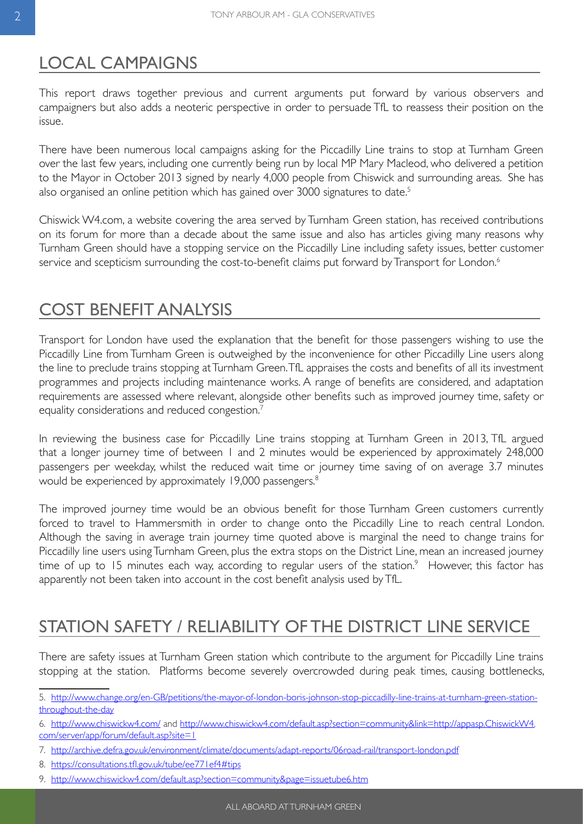### <span id="page-3-0"></span>LOCAL CAMPAIGNS

This report draws together previous and current arguments put forward by various observers and campaigners but also adds a neoteric perspective in order to persuade TfL to reassess their position on the issue.

There have been numerous local campaigns asking for the Piccadilly Line trains to stop at Turnham Green over the last few years, including one currently being run by local MP Mary Macleod, who delivered a petition to the Mayor in October 2013 signed by nearly 4,000 people from Chiswick and surrounding areas. She has also organised an online petition which has gained over 3000 signatures to date.<sup>5</sup>

Chiswick W4.com, a website covering the area served by Turnham Green station, has received contributions on its forum for more than a decade about the same issue and also has articles giving many reasons why Turnham Green should have a stopping service on the Piccadilly Line including safety issues, better customer service and scepticism surrounding the cost-to-benefit claims put forward by Transport for London.<sup>6</sup>

### COST BENEFIT ANALYSIS

Transport for London have used the explanation that the benefit for those passengers wishing to use the Piccadilly Line from Turnham Green is outweighed by the inconvenience for other Piccadilly Line users along the line to preclude trains stopping at Turnham Green. TfL appraises the costs and benefits of all its investment programmes and projects including maintenance works. A range of benefits are considered, and adaptation requirements are assessed where relevant, alongside other benefits such as improved journey time, safety or equality considerations and reduced congestion.<sup>7</sup>

In reviewing the business case for Piccadilly Line trains stopping at Turnham Green in 2013, TfL argued that a longer journey time of between 1 and 2 minutes would be experienced by approximately 248,000 passengers per weekday, whilst the reduced wait time or journey time saving of on average 3.7 minutes would be experienced by approximately 19,000 passengers.<sup>8</sup>

The improved journey time would be an obvious benefit for those Turnham Green customers currently forced to travel to Hammersmith in order to change onto the Piccadilly Line to reach central London. Although the saving in average train journey time quoted above is marginal the need to change trains for Piccadilly line users using Turnham Green, plus the extra stops on the District Line, mean an increased journey time of up to 15 minutes each way, according to regular users of the station. $9$  However, this factor has apparently not been taken into account in the cost benefit analysis used by TfL.

## STATION SAFETY / RELIABILITY OF THE DISTRICT LINE SERVICE

There are safety issues at Turnham Green station which contribute to the argument for Piccadilly Line trains stopping at the station. Platforms become severely overcrowded during peak times, causing bottlenecks,

8. [https://consultations.tfl.gov.uk/tube/ee771ef4#tips](https://consultations.tfl.gov.uk/tube/ee771ef4%23tips)

<sup>5.</sup> [http://www.change.org/en-GB/petitions/the-mayor-of-london-boris-johnson-stop-piccadilly-line-trains-at-turnham-green-station](http://www.change.org/en-GB/petitions/the-mayor-of-london-boris-johnson-stop-piccadilly-line-trains-at-turnham-green-station-throughout-the-day)[throughout-the-day](http://www.change.org/en-GB/petitions/the-mayor-of-london-boris-johnson-stop-piccadilly-line-trains-at-turnham-green-station-throughout-the-day)

<sup>6.</sup> <http://www.chiswickw4.com/> and [http://www.chiswickw4.com/default.asp?section=community&link=http://appasp.ChiswickW4.](http://www.chiswickw4.com/default.asp?section=community&link=http://appasp.ChiswickW4.com/server/app/forum/default.asp?site=1) [com/server/app/forum/default.asp?site=1](http://www.chiswickw4.com/default.asp?section=community&link=http://appasp.ChiswickW4.com/server/app/forum/default.asp?site=1)

<sup>7.</sup><http://archive.defra.gov.uk/environment/climate/documents/adapt-reports/06road-rail/transport-london.pdf>

<sup>9.</sup> <http://www.chiswickw4.com/default.asp?section=community&page=issuetube6.htm>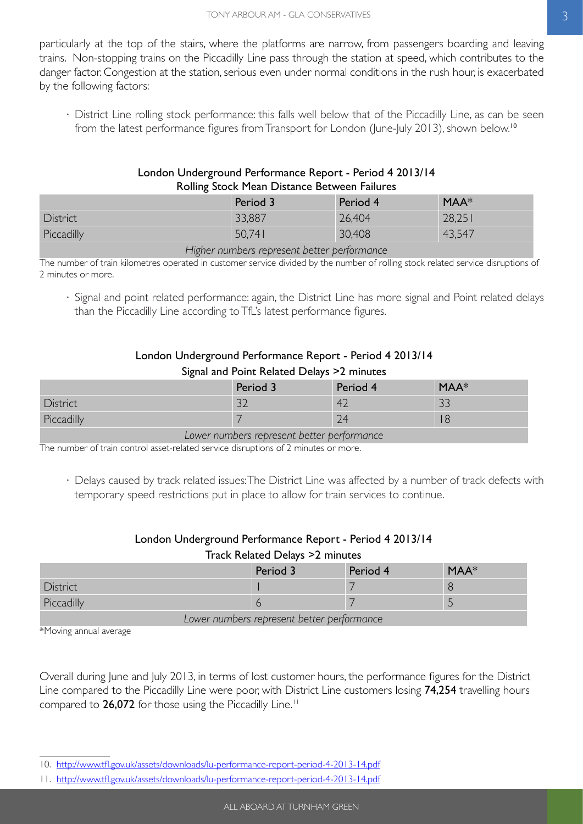particularly at the top of the stairs, where the platforms are narrow, from passengers boarding and leaving trains. Non-stopping trains on the Piccadilly Line pass through the station at speed, which contributes to the danger factor. Congestion at the station, serious even under normal conditions in the rush hour, is exacerbated by the following factors:

⋅ District Line rolling stock performance: this falls well below that of the Piccadilly Line, as can be seen from the latest performance figures from Transport for London (June-July 2013), shown below.<sup>10</sup>

#### London Underground Performance Report - Period 4 2013/14 Rolling Stock Mean Distance Between Failures

|            | Period 3 | Period 4 | $MAA*$ |
|------------|----------|----------|--------|
| District   | 33,887   | 26,404   | 28,251 |
| Piccadilly | 50,741   | 30,408   | 43,547 |

*Higher numbers represent better performance*

The number of train kilometres operated in customer service divided by the number of rolling stock related service disruptions of 2 minutes or more.

⋅ Signal and point related performance: again, the District Line has more signal and Point related delays than the Piccadilly Line according to TfL's latest performance figures.

### London Underground Performance Report - Period 4 2013/14

#### Signal and Point Related Delays >2 minutes

|            | Period 3      | Period 4 | MAA*     |
|------------|---------------|----------|----------|
| District   | $\sim$<br>ے ر | 42       | <u>.</u> |
| Piccadilly |               | 24       | 18       |

*Lower numbers represent better performance*

The number of train control asset-related service disruptions of 2 minutes or more.

⋅ Delays caused by track related issues: The District Line was affected by a number of track defects with temporary speed restrictions put in place to allow for train services to continue.

#### London Underground Performance Report - Period 4 2013/14 Track Related Delays >2 minutes

|                                            | Period 3 | Period 4 | $MAA*$ |  |  |
|--------------------------------------------|----------|----------|--------|--|--|
| <b>District</b>                            |          |          |        |  |  |
| Piccadilly                                 |          |          |        |  |  |
| Lower numbers represent better performance |          |          |        |  |  |

\*Moving annual average

Overall during June and July 2013, in terms of lost customer hours, the performance figures for the District Line compared to the Piccadilly Line were poor, with District Line customers losing 74,254 travelling hours compared to 26,072 for those using the Piccadilly Line.<sup>11</sup>

<sup>10.</sup><http://www.tfl.gov.uk/assets/downloads/lu-performance-report-period-4-2013-14.pdf>

<sup>11.</sup> <http://www.tfl.gov.uk/assets/downloads/lu-performance-report-period-4-2013-14.pdf>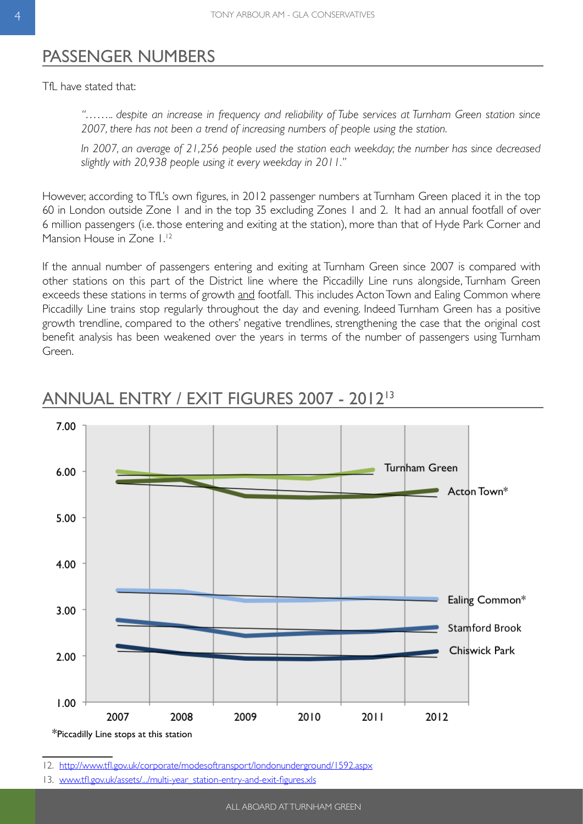### <span id="page-5-0"></span>PASSENGER NUMBERS

TfL have stated that:

*"…….. despite an increase in frequency and reliability of Tube services at Turnham Green station since 2007, there has not been a trend of increasing numbers of people using the station.*

*In 2007, an average of 21,256 people used the station each weekday; the number has since decreased slightly with 20,938 people using it every weekday in 2011."*

However, according to TfL's own figures, in 2012 passenger numbers at Turnham Green placed it in the top 60 in London outside Zone 1 and in the top 35 excluding Zones 1 and 2. It had an annual footfall of over 6 million passengers (i.e. those entering and exiting at the station), more than that of Hyde Park Corner and Mansion House in Zone 1.<sup>12</sup>

If the annual number of passengers entering and exiting at Turnham Green since 2007 is compared with other stations on this part of the District line where the Piccadilly Line runs alongside, Turnham Green exceeds these stations in terms of growth and footfall. This includes Acton Town and Ealing Common where Piccadilly Line trains stop regularly throughout the day and evening. Indeed Turnham Green has a positive growth trendline, compared to the others' negative trendlines, strengthening the case that the original cost benefit analysis has been weakened over the years in terms of the number of passengers using Turnham Green.



### ANNUAL ENTRY / EXIT FIGURES 2007 - 201213

12. <http://www.tfl.gov.uk/corporate/modesoftransport/londonunderground/1592.aspx>

13.[www.tfl.gov.uk/assets/.../multi-year\\_station-entry-and-exit-figures.xls](file:///\\homedata\home$\PThatcher\Reports\www.tfl.gov.uk\assets\...\multi-year_station-entry-and-exit-figures.xls)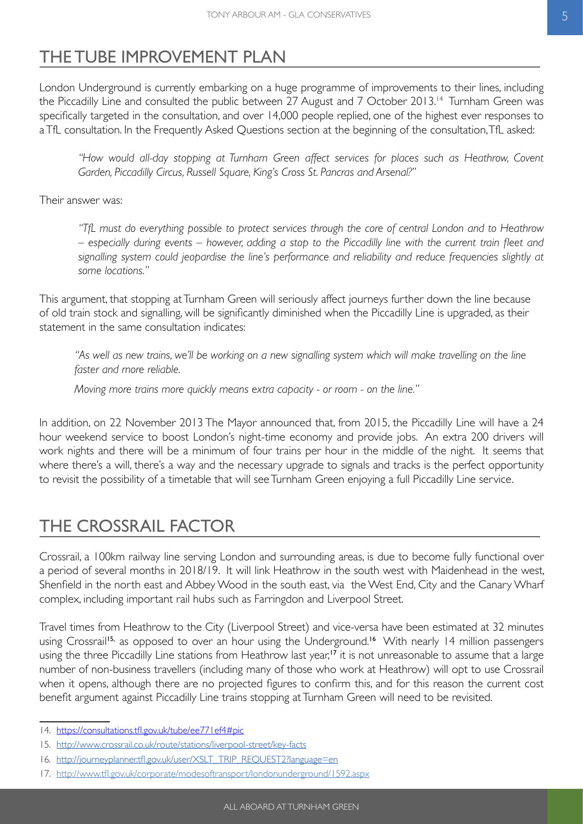### <span id="page-6-0"></span>THE TUBE IMPROVEMENT PLAN

London Underground is currently embarking on a huge programme of improvements to their lines, including the Piccadilly Line and consulted the public between 27 August and 7 October 2013.<sup>14</sup> Turnham Green was specifically targeted in the consultation, and over 14,000 people replied, one of the highest ever responses to a TfL consultation. In the Frequently Asked Questions section at the beginning of the consultation, TfL asked:

*"How would all-day stopping at Turnham Green affect services for places such as Heathrow, Covent Garden, Piccadilly Circus, Russell Square, King's Cross St. Pancras and Arsenal?"*

Their answer was:

*"TfL must do everything possible to protect services through the core of central London and to Heathrow – especially during events – however, adding a stop to the Piccadilly line with the current train fleet and signalling system could jeopardise the line's performance and reliability and reduce frequencies slightly at some locations."*

This argument, that stopping at Turnham Green will seriously affect journeys further down the line because of old train stock and signalling, will be significantly diminished when the Piccadilly Line is upgraded, as their statement in the same consultation indicates:

"As well as new trains, we'll be working on a new signalling system which will make travelling on the line *faster and more reliable.*

*Moving more trains more quickly means extra capacity - or room - on the line."*

In addition, on 22 November 2013 The Mayor announced that, from 2015, the Piccadilly Line will have a 24 hour weekend service to boost London's night-time economy and provide jobs. An extra 200 drivers will work nights and there will be a minimum of four trains per hour in the middle of the night. It seems that where there's a will, there's a way and the necessary upgrade to signals and tracks is the perfect opportunity to revisit the possibility of a timetable that will see Turnham Green enjoying a full Piccadilly Line service.

### THE CROSSRAIL FACTOR

Crossrail, a 100km railway line serving London and surrounding areas, is due to become fully functional over a period of several months in 2018/19. It will link Heathrow in the south west with Maidenhead in the west, Shenfield in the north east and Abbey Wood in the south east, via the West End, City and the Canary Wharf complex, including important rail hubs such as Farringdon and Liverpool Street.

Travel times from Heathrow to the City (Liverpool Street) and vice-versa have been estimated at 32 minutes using Crossrail<sup>15,</sup> as opposed to over an hour using the Underground.<sup>16</sup> With nearly 14 million passengers using the three Piccadilly Line stations from Heathrow last year,<sup>17</sup> it is not unreasonable to assume that a large number of non-business travellers (including many of those who work at Heathrow) will opt to use Crossrail when it opens, although there are no projected figures to confirm this, and for this reason the current cost benefit argument against Piccadilly Line trains stopping at Turnham Green will need to be revisited.

<sup>14.</sup> https://consultations.tfl.gov.uk/tube/ee771ef4#pic

<sup>15.</sup> http://www.crossrail.co.uk/route/stations/liverpool-street/key-facts

<sup>16.</sup> http://journeyplanner.tfl.gov.uk/user/XSLT\_TRIP\_REQUEST2?language=en

<sup>17.</sup>http://www.tfl.gov.uk/corporate/modesoftransport/londonunderground/1592.aspx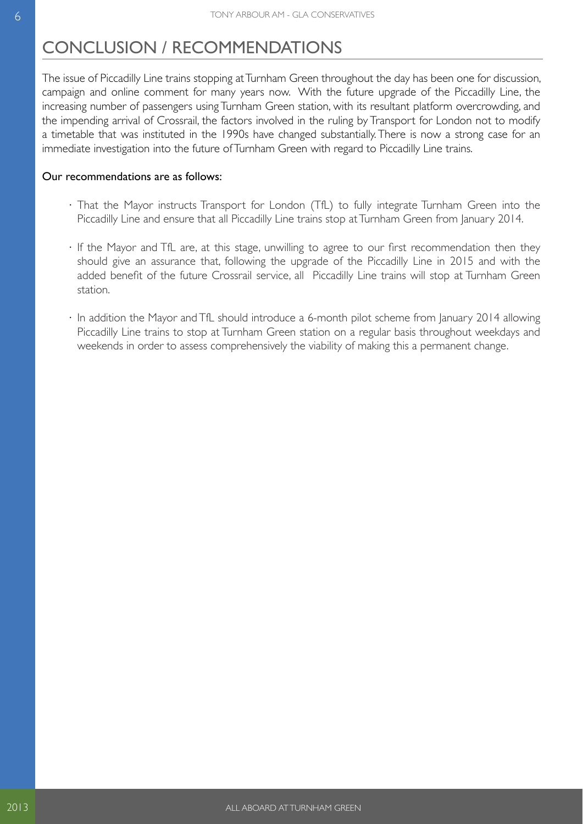### <span id="page-7-0"></span>CONCLUSION / RECOMMENDATIONS

The issue of Piccadilly Line trains stopping at Turnham Green throughout the day has been one for discussion, campaign and online comment for many years now. With the future upgrade of the Piccadilly Line, the increasing number of passengers using Turnham Green station, with its resultant platform overcrowding, and the impending arrival of Crossrail, the factors involved in the ruling by Transport for London not to modify a timetable that was instituted in the 1990s have changed substantially. There is now a strong case for an immediate investigation into the future of Turnham Green with regard to Piccadilly Line trains.

#### Our recommendations are as follows:

- ⋅ That the Mayor instructs Transport for London (TfL) to fully integrate Turnham Green into the Piccadilly Line and ensure that all Piccadilly Line trains stop at Turnham Green from January 2014.
- ⋅ If the Mayor and TfL are, at this stage, unwilling to agree to our first recommendation then they should give an assurance that, following the upgrade of the Piccadilly Line in 2015 and with the added benefit of the future Crossrail service, all Piccadilly Line trains will stop at Turnham Green station.
- ⋅ In addition the Mayor and TfL should introduce a 6-month pilot scheme from January 2014 allowing Piccadilly Line trains to stop at Turnham Green station on a regular basis throughout weekdays and weekends in order to assess comprehensively the viability of making this a permanent change.

2013